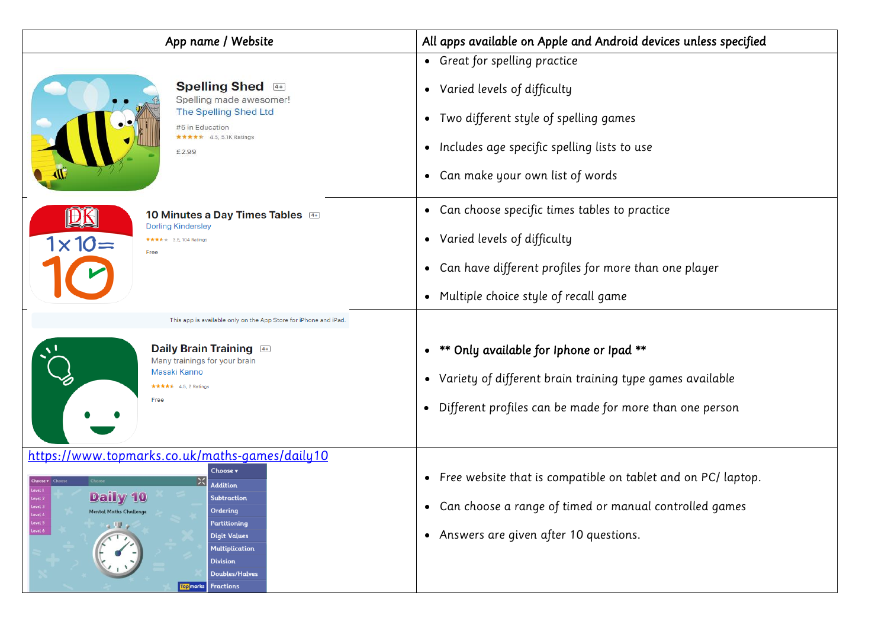| App name / Website                                                                                                                                                                                                                                                                                                                                                                                       | All apps available on Apple and Android devices unless specified                                                                                                                                |  |  |
|----------------------------------------------------------------------------------------------------------------------------------------------------------------------------------------------------------------------------------------------------------------------------------------------------------------------------------------------------------------------------------------------------------|-------------------------------------------------------------------------------------------------------------------------------------------------------------------------------------------------|--|--|
| <b>Spelling Shed</b> 4+<br>Spelling made awesomer!<br><b>The Spelling Shed Ltd</b><br>#5 in Education<br>$\star \star \star \star$ 4.5, 5.1K Ratings<br>£2.99                                                                                                                                                                                                                                            | • Great for spelling practice<br>• Varied levels of difficulty<br>• Two different style of spelling games<br>• Includes age specific spelling lists to use<br>• Can make your own list of words |  |  |
| 10 Minutes a Day Times Tables 4<br><b>Dorling Kindersley</b><br>$1 \times 10 =$<br>★★★★ 3.5, 104 Ratings<br>Free                                                                                                                                                                                                                                                                                         | • Can choose specific times tables to practice<br>• Varied levels of difficulty<br>Can have different profiles for more than one player<br>$\bullet$<br>• Multiple choice style of recall game  |  |  |
| This app is available only on the App Store for iPhone and iPad.                                                                                                                                                                                                                                                                                                                                         |                                                                                                                                                                                                 |  |  |
| Daily Brain Training 4<br>Many trainings for your brain<br>Masaki Kanno<br>★★★★★ 4.5, 2 Ratings<br>Free                                                                                                                                                                                                                                                                                                  | ** Only available for Iphone or Ipad **<br>$\bullet$<br>• Variety of different brain training type games available<br>Different profiles can be made for more than one person<br>$\bullet$      |  |  |
| https://www.topmarks.co.uk/maths-games/daily10<br>Choose v<br>$\times$<br><b>Choose v</b> Choose<br><b>Addition</b><br>Daily 10<br><b>Subtraction</b><br>vel 2<br>.evel .<br>Ordering<br><b>Mental Maths Challenge</b><br>Level 4<br>Level 5<br>Partitioning<br>2 W<br>Level 6<br><b>Digit Values</b><br><b>Multiplication</b><br><b>Division</b><br><b>Doubles/Halves</b><br><b>Top</b> marks Fractions | • Free website that is compatible on tablet and on PC/ laptop.<br>Can choose a range of timed or manual controlled games<br>$\bullet$<br>• Answers are given after 10 questions.                |  |  |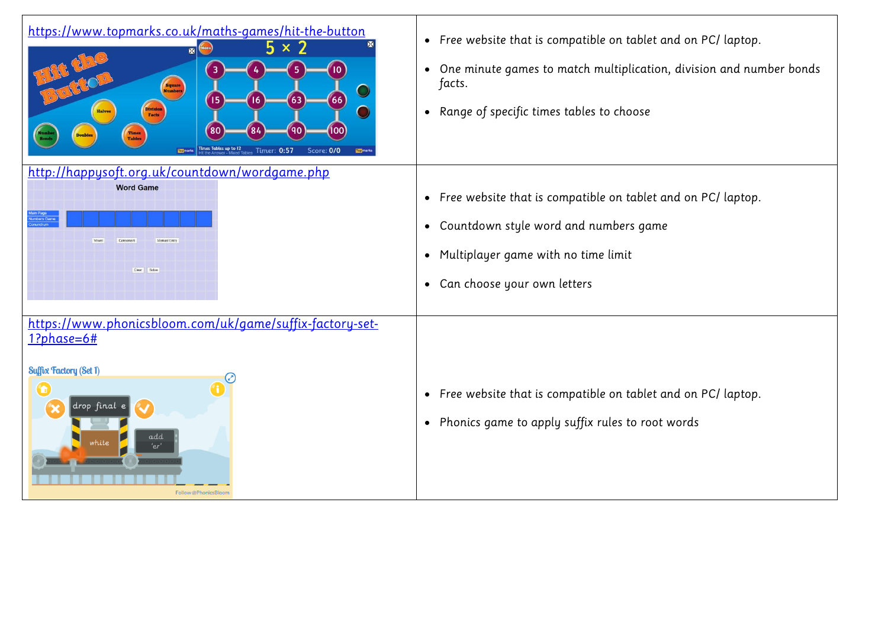| https://www.topmarks.co.uk/maths-games/hit-the-button<br>$5 \times 2$<br>×<br>Square<br>Numbers<br>15<br>63<br>[66]<br>16<br><b>Division</b><br>Facts<br>80<br>100<br><b>Times</b><br>Tables<br><b>Doubles</b><br>Times Tables up to 12<br><b>Timer: 0:57</b><br>Score: 0/0<br><b>Top</b> mo | • Free website that is compatible on tablet and on PC/ laptop.<br>One minute games to match multiplication, division and number bonds<br>$\bullet$<br>facts.<br>Range of specific times tables to choose<br>$\bullet$ |
|----------------------------------------------------------------------------------------------------------------------------------------------------------------------------------------------------------------------------------------------------------------------------------------------|-----------------------------------------------------------------------------------------------------------------------------------------------------------------------------------------------------------------------|
| http://happysoft.org.uk/countdown/wordgame.php<br><b>Word Game</b><br>Manual Entry<br>Clear Solve                                                                                                                                                                                            | • Free website that is compatible on tablet and on PC/ laptop.<br>Countdown style word and numbers game<br>$\bullet$<br>Multiplayer game with no time limit<br>$\bullet$<br>Can choose your own letters<br>$\bullet$  |
| https://www.phonicsbloom.com/uk/game/suffix-factory-set-<br>$1?phase=6#$<br><b>Suffix Factory (Set 1)</b><br>$\mathbf \Omega$<br>drop final e<br>add<br>'er'<br>Follow @PhonicsBloom                                                                                                         | Free website that is compatible on tablet and on PC/ laptop.<br>$\bullet$<br>Phonics game to apply suffix rules to root words<br>$\bullet$                                                                            |